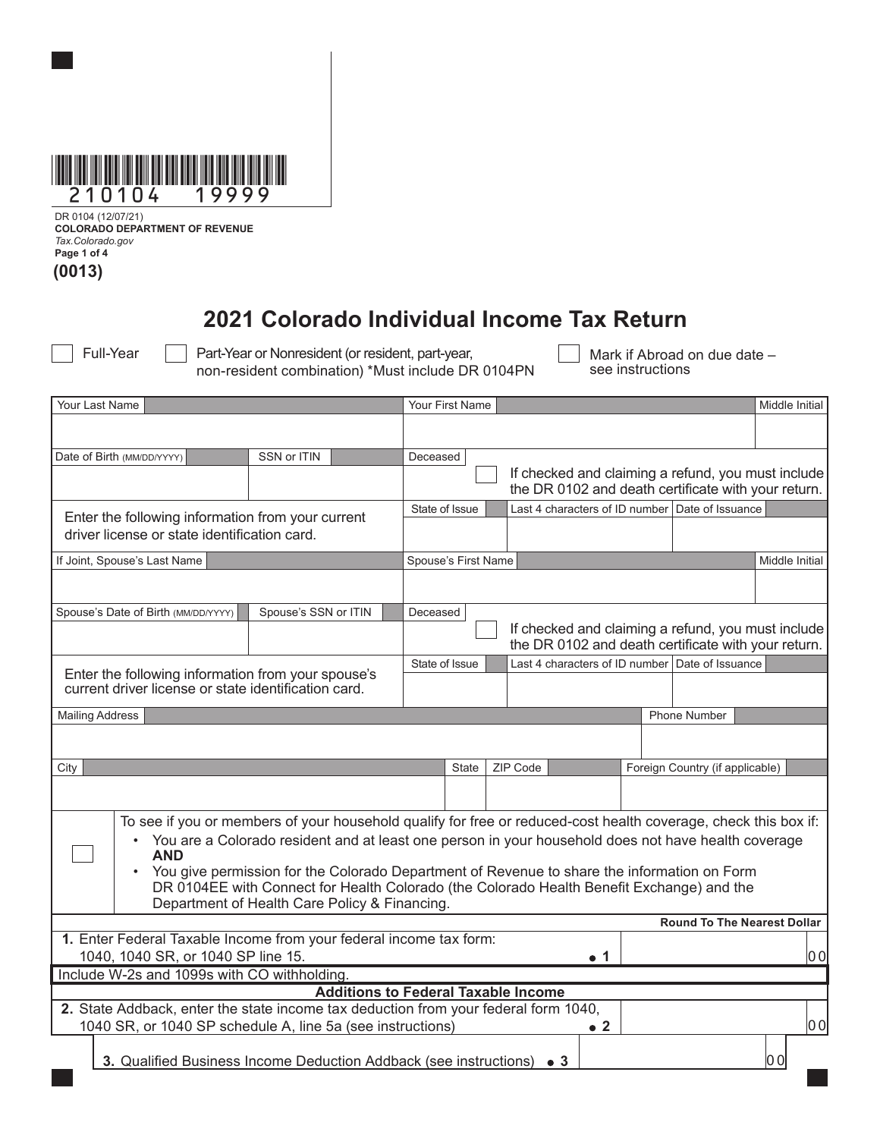

DR 0104 (12/07/21) **COLORADO DEPARTMENT OF REVENUE** *Tax.Colorado.gov* **Page 1 of 4 (0013)**

## **2021 Colorado Individual Income Tax Return**

Full-Year Part-Year or Nonresident (or resident, part-year, non-resident combination) \*Must include DR 0104PN Mark if Abroad on due date – see instructions

|                                                                                                                                            | Your Last Name                                                                              |             |                                                                                                                 |                                                                | Your First Name                                                   |  |          |             |  |                |                                                     |     | Middle Initial |
|--------------------------------------------------------------------------------------------------------------------------------------------|---------------------------------------------------------------------------------------------|-------------|-----------------------------------------------------------------------------------------------------------------|----------------------------------------------------------------|-------------------------------------------------------------------|--|----------|-------------|--|----------------|-----------------------------------------------------|-----|----------------|
|                                                                                                                                            |                                                                                             |             |                                                                                                                 |                                                                |                                                                   |  |          |             |  |                |                                                     |     |                |
|                                                                                                                                            | Date of Birth (MM/DD/YYYY)                                                                  | SSN or ITIN |                                                                                                                 | Deceased                                                       |                                                                   |  |          |             |  |                |                                                     |     |                |
|                                                                                                                                            |                                                                                             |             |                                                                                                                 |                                                                |                                                                   |  |          |             |  |                | If checked and claiming a refund, you must include  |     |                |
|                                                                                                                                            |                                                                                             |             |                                                                                                                 |                                                                |                                                                   |  |          |             |  |                | the DR 0102 and death certificate with your return. |     |                |
|                                                                                                                                            |                                                                                             |             |                                                                                                                 |                                                                | State of Issue                                                    |  |          |             |  |                | Last 4 characters of ID number Date of Issuance     |     |                |
|                                                                                                                                            | Enter the following information from your current                                           |             |                                                                                                                 |                                                                |                                                                   |  |          |             |  |                |                                                     |     |                |
| driver license or state identification card.                                                                                               |                                                                                             |             |                                                                                                                 |                                                                |                                                                   |  |          |             |  |                |                                                     |     |                |
|                                                                                                                                            | If Joint, Spouse's Last Name                                                                |             |                                                                                                                 | Spouse's First Name                                            |                                                                   |  |          |             |  | Middle Initial |                                                     |     |                |
|                                                                                                                                            |                                                                                             |             |                                                                                                                 |                                                                |                                                                   |  |          |             |  |                |                                                     |     |                |
|                                                                                                                                            | Spouse's Date of Birth (MM/DD/YYYY)                                                         |             | Spouse's SSN or ITIN                                                                                            |                                                                |                                                                   |  |          |             |  |                |                                                     |     |                |
|                                                                                                                                            |                                                                                             |             |                                                                                                                 | Deceased<br>If checked and claiming a refund, you must include |                                                                   |  |          |             |  |                |                                                     |     |                |
|                                                                                                                                            |                                                                                             |             |                                                                                                                 | the DR 0102 and death certificate with your return.            |                                                                   |  |          |             |  |                |                                                     |     |                |
|                                                                                                                                            |                                                                                             |             |                                                                                                                 |                                                                | Last 4 characters of ID number Date of Issuance<br>State of Issue |  |          |             |  |                |                                                     |     |                |
| Enter the following information from your spouse's<br>current driver license or state identification card.                                 |                                                                                             |             |                                                                                                                 |                                                                |                                                                   |  |          |             |  |                |                                                     |     |                |
|                                                                                                                                            |                                                                                             |             |                                                                                                                 |                                                                |                                                                   |  |          |             |  |                |                                                     |     |                |
|                                                                                                                                            | <b>Mailing Address</b>                                                                      |             |                                                                                                                 |                                                                |                                                                   |  |          |             |  |                | Phone Number                                        |     |                |
|                                                                                                                                            |                                                                                             |             |                                                                                                                 |                                                                |                                                                   |  |          |             |  |                |                                                     |     |                |
| City                                                                                                                                       |                                                                                             |             |                                                                                                                 |                                                                | State                                                             |  | ZIP Code |             |  |                | Foreign Country (if applicable)                     |     |                |
|                                                                                                                                            |                                                                                             |             |                                                                                                                 |                                                                |                                                                   |  |          |             |  |                |                                                     |     |                |
|                                                                                                                                            |                                                                                             |             |                                                                                                                 |                                                                |                                                                   |  |          |             |  |                |                                                     |     |                |
|                                                                                                                                            |                                                                                             |             | To see if you or members of your household qualify for free or reduced-cost health coverage, check this box if: |                                                                |                                                                   |  |          |             |  |                |                                                     |     |                |
|                                                                                                                                            |                                                                                             |             | • You are a Colorado resident and at least one person in your household does not have health coverage           |                                                                |                                                                   |  |          |             |  |                |                                                     |     |                |
|                                                                                                                                            | <b>AND</b>                                                                                  |             |                                                                                                                 |                                                                |                                                                   |  |          |             |  |                |                                                     |     |                |
|                                                                                                                                            | You give permission for the Colorado Department of Revenue to share the information on Form |             |                                                                                                                 |                                                                |                                                                   |  |          |             |  |                |                                                     |     |                |
| DR 0104EE with Connect for Health Colorado (the Colorado Health Benefit Exchange) and the<br>Department of Health Care Policy & Financing. |                                                                                             |             |                                                                                                                 |                                                                |                                                                   |  |          |             |  |                |                                                     |     |                |
|                                                                                                                                            |                                                                                             |             |                                                                                                                 |                                                                |                                                                   |  |          |             |  |                | <b>Round To The Nearest Dollar</b>                  |     |                |
| 1. Enter Federal Taxable Income from your federal income tax form:                                                                         |                                                                                             |             |                                                                                                                 |                                                                |                                                                   |  |          |             |  |                |                                                     |     |                |
| 1040, 1040 SR, or 1040 SP line 15.                                                                                                         |                                                                                             |             |                                                                                                                 |                                                                |                                                                   |  |          | . 1         |  |                |                                                     |     | 0 O            |
| Include W-2s and 1099s with CO withholding.                                                                                                |                                                                                             |             |                                                                                                                 |                                                                |                                                                   |  |          |             |  |                |                                                     |     |                |
| <b>Additions to Federal Taxable Income</b>                                                                                                 |                                                                                             |             |                                                                                                                 |                                                                |                                                                   |  |          |             |  |                |                                                     |     |                |
| 2. State Addback, enter the state income tax deduction from your federal form 1040,                                                        |                                                                                             |             |                                                                                                                 |                                                                |                                                                   |  |          |             |  |                |                                                     |     |                |
|                                                                                                                                            | 1040 SR, or 1040 SP schedule A, line 5a (see instructions)                                  |             |                                                                                                                 |                                                                |                                                                   |  |          | $\bullet$ 2 |  |                |                                                     |     | 00             |
|                                                                                                                                            | 3. Qualified Business Income Deduction Addback (see instructions) • 3                       |             |                                                                                                                 |                                                                |                                                                   |  |          |             |  |                |                                                     | 0 O |                |
|                                                                                                                                            |                                                                                             |             |                                                                                                                 |                                                                |                                                                   |  |          |             |  |                |                                                     |     |                |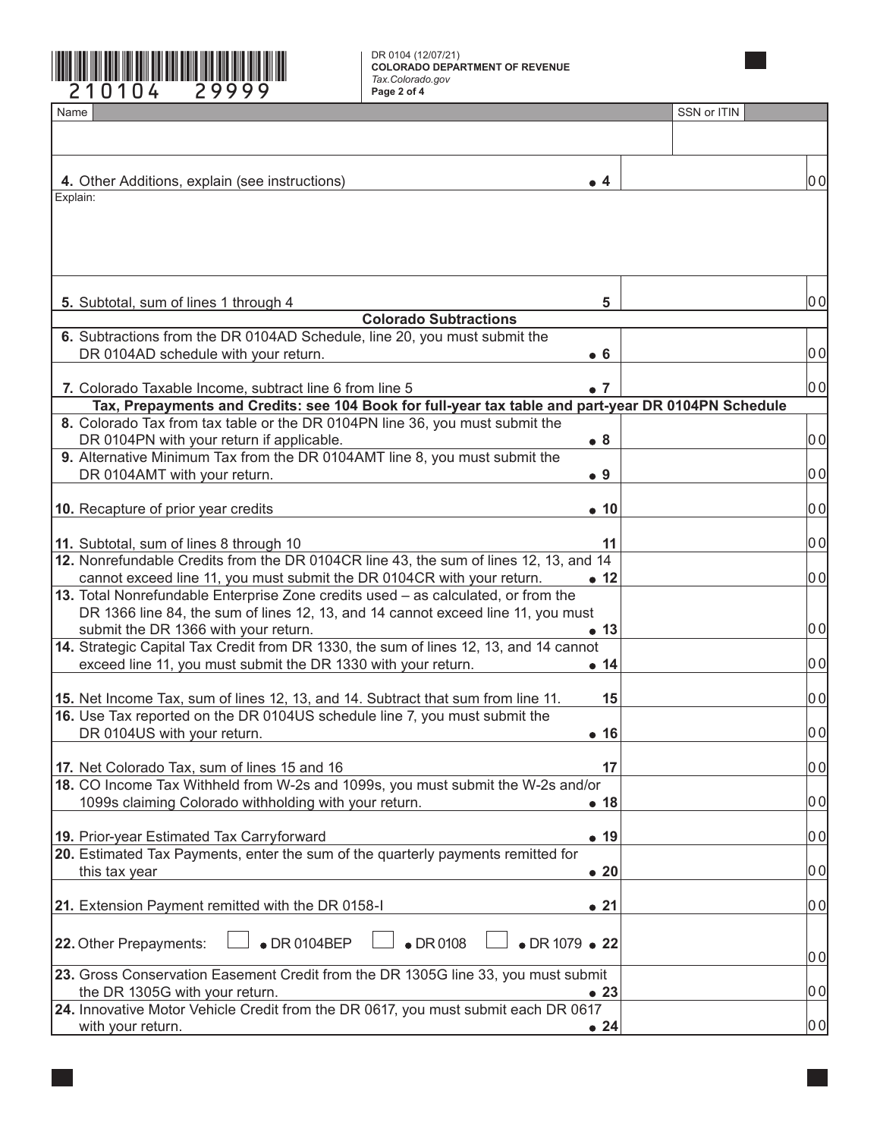

DR 0104 (12/07/21) **COLORADO DEPARTMENT OF REVENUE** *Tax.Colorado.gov*

٦

| Name                                                                                                                                                   |                                | SSN or ITIN |     |
|--------------------------------------------------------------------------------------------------------------------------------------------------------|--------------------------------|-------------|-----|
|                                                                                                                                                        |                                |             |     |
|                                                                                                                                                        |                                |             |     |
| 4. Other Additions, explain (see instructions)                                                                                                         | $\bullet$ 4                    |             | 00  |
| Explain:                                                                                                                                               |                                |             |     |
|                                                                                                                                                        |                                |             |     |
|                                                                                                                                                        |                                |             |     |
|                                                                                                                                                        |                                |             |     |
|                                                                                                                                                        |                                |             |     |
| 5. Subtotal, sum of lines 1 through 4                                                                                                                  | 5                              |             | 00  |
| <b>Colorado Subtractions</b>                                                                                                                           |                                |             |     |
| 6. Subtractions from the DR 0104AD Schedule, line 20, you must submit the                                                                              |                                |             |     |
| DR 0104AD schedule with your return.                                                                                                                   | • 6                            |             | 0 O |
|                                                                                                                                                        |                                |             |     |
| 7. Colorado Taxable Income, subtract line 6 from line 5                                                                                                | $\bullet$ 7                    |             | 00  |
| Tax, Prepayments and Credits: see 104 Book for full-year tax table and part-year DR 0104PN Schedule                                                    |                                |             |     |
| 8. Colorado Tax from tax table or the DR 0104PN line 36, you must submit the                                                                           |                                |             |     |
| DR 0104PN with your return if applicable.                                                                                                              | • 8                            |             | 0 O |
| 9. Alternative Minimum Tax from the DR 0104AMT line 8, you must submit the<br>DR 0104AMT with your return.                                             | $\bullet$ 9                    |             | 0 O |
|                                                                                                                                                        |                                |             |     |
| 10. Recapture of prior year credits                                                                                                                    | $\bullet$ 10                   |             | 0 O |
|                                                                                                                                                        |                                |             |     |
| 11. Subtotal, sum of lines 8 through 10                                                                                                                | 11                             |             | 0 O |
| 12. Nonrefundable Credits from the DR 0104CR line 43, the sum of lines 12, 13, and 14                                                                  |                                |             |     |
| cannot exceed line 11, you must submit the DR 0104CR with your return.                                                                                 | $\bullet$ 12                   |             | 0 O |
| 13. Total Nonrefundable Enterprise Zone credits used - as calculated, or from the                                                                      |                                |             |     |
| DR 1366 line 84, the sum of lines 12, 13, and 14 cannot exceed line 11, you must                                                                       |                                |             |     |
| submit the DR 1366 with your return.                                                                                                                   | $\bullet$ 13                   |             | 0 O |
| 14. Strategic Capital Tax Credit from DR 1330, the sum of lines 12, 13, and 14 cannot<br>exceed line 11, you must submit the DR 1330 with your return. | • 14                           |             | 0 이 |
|                                                                                                                                                        |                                |             |     |
| 15. Net Income Tax, sum of lines 12, 13, and 14. Subtract that sum from line 11.                                                                       | 15                             |             | 00  |
| 16. Use Tax reported on the DR 0104US schedule line 7, you must submit the                                                                             |                                |             |     |
| DR 0104US with your return.                                                                                                                            | $\bullet$ 16                   |             | 00  |
|                                                                                                                                                        |                                |             |     |
| 17. Net Colorado Tax, sum of lines 15 and 16                                                                                                           | 17                             |             | 0 O |
| 18. CO Income Tax Withheld from W-2s and 1099s, you must submit the W-2s and/or                                                                        |                                |             |     |
| 1099s claiming Colorado withholding with your return.                                                                                                  | • 18                           |             | 0 이 |
| 19. Prior-year Estimated Tax Carryforward                                                                                                              | • 19                           |             | 00  |
| 20. Estimated Tax Payments, enter the sum of the quarterly payments remitted for                                                                       |                                |             |     |
| this tax year                                                                                                                                          | $\bullet$ 20                   |             | 00  |
|                                                                                                                                                        |                                |             |     |
| 21. Extension Payment remitted with the DR 0158-I                                                                                                      | $\bullet$ 21                   |             | 00  |
|                                                                                                                                                        |                                |             |     |
| $\bullet$ DR 0108<br>$\bullet$ DR 0104BEP<br>22. Other Prepayments:                                                                                    | $\bullet$ DR 1079 $\bullet$ 22 |             |     |
|                                                                                                                                                        |                                |             | 0 O |
| 23. Gross Conservation Easement Credit from the DR 1305G line 33, you must submit                                                                      |                                |             |     |
| the DR 1305G with your return.                                                                                                                         | $\bullet$ 23                   |             | 0 이 |
| 24. Innovative Motor Vehicle Credit from the DR 0617, you must submit each DR 0617<br>with your return.                                                |                                |             | 0 이 |
|                                                                                                                                                        | $\bullet$ 24                   |             |     |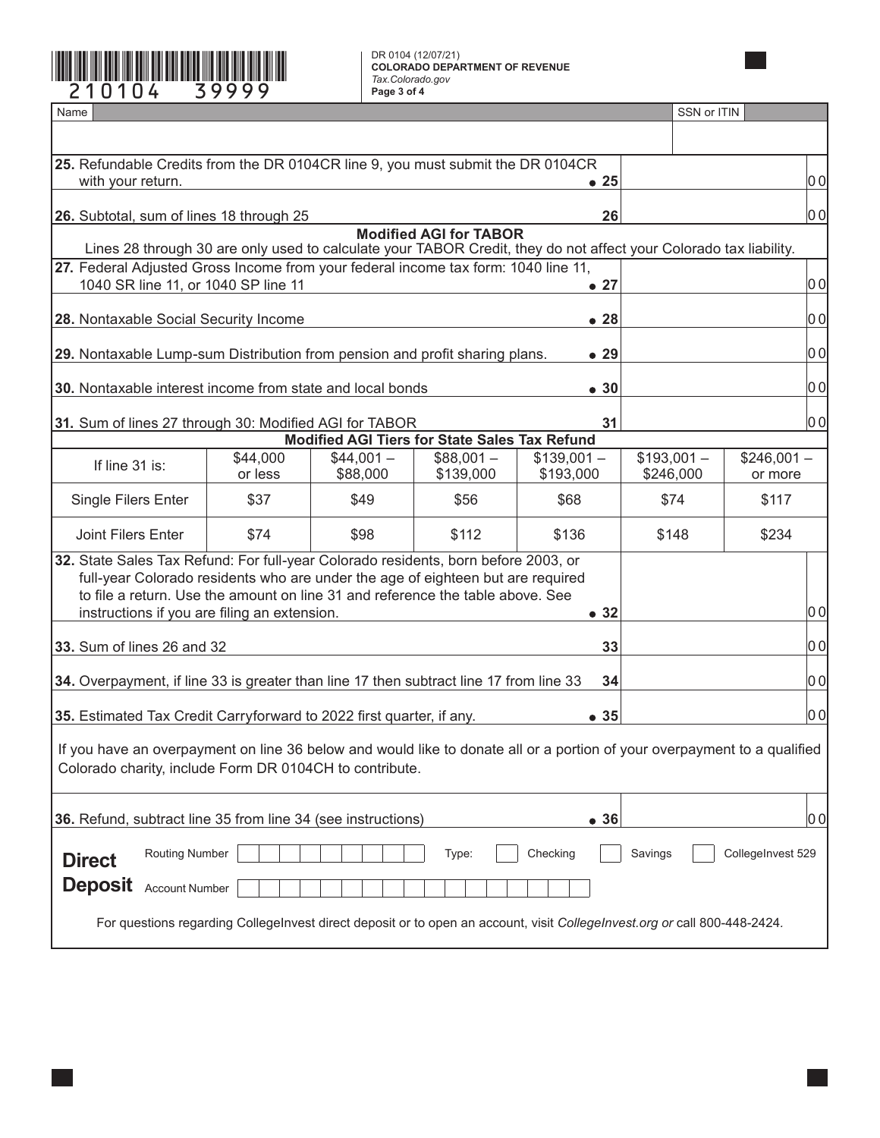## DR 0104 (12/07/21) **COLORADO DEPARTMENT OF REVENUE** *Tax.Colorado.gov*

| DR 0104 (12/07/21)<br><b>COLORADO DEPARTMENT OF REVENUE</b><br>Tax.Colorado.gov<br>210104<br>39999<br>Page 3 of 4                                                                                                                                                                                                       |                     |                                                      |                         |                           |                           |                        |  |  |  |
|-------------------------------------------------------------------------------------------------------------------------------------------------------------------------------------------------------------------------------------------------------------------------------------------------------------------------|---------------------|------------------------------------------------------|-------------------------|---------------------------|---------------------------|------------------------|--|--|--|
| Name                                                                                                                                                                                                                                                                                                                    |                     |                                                      |                         |                           | SSN or ITIN               |                        |  |  |  |
|                                                                                                                                                                                                                                                                                                                         |                     |                                                      |                         |                           |                           |                        |  |  |  |
| 25. Refundable Credits from the DR 0104CR line 9, you must submit the DR 0104CR<br>with your return.                                                                                                                                                                                                                    |                     | 0 O                                                  |                         |                           |                           |                        |  |  |  |
| 26. Subtotal, sum of lines 18 through 25                                                                                                                                                                                                                                                                                |                     | 00                                                   |                         |                           |                           |                        |  |  |  |
| <b>Modified AGI for TABOR</b><br>Lines 28 through 30 are only used to calculate your TABOR Credit, they do not affect your Colorado tax liability.                                                                                                                                                                      |                     |                                                      |                         |                           |                           |                        |  |  |  |
| 27. Federal Adjusted Gross Income from your federal income tax form: 1040 line 11,<br>1040 SR line 11, or 1040 SP line 11                                                                                                                                                                                               | $\bullet$ 27        |                                                      | 0 이                     |                           |                           |                        |  |  |  |
|                                                                                                                                                                                                                                                                                                                         |                     |                                                      |                         |                           |                           |                        |  |  |  |
| 28. Nontaxable Social Security Income                                                                                                                                                                                                                                                                                   |                     |                                                      |                         | •28                       |                           | 0 O                    |  |  |  |
| 29. Nontaxable Lump-sum Distribution from pension and profit sharing plans.                                                                                                                                                                                                                                             |                     | 0 O                                                  |                         |                           |                           |                        |  |  |  |
| 30. Nontaxable interest income from state and local bonds                                                                                                                                                                                                                                                               |                     |                                                      |                         | $\bullet$ 30              |                           | 0 O                    |  |  |  |
| 31. Sum of lines 27 through 30: Modified AGI for TABOR                                                                                                                                                                                                                                                                  | 31                  |                                                      | 00                      |                           |                           |                        |  |  |  |
|                                                                                                                                                                                                                                                                                                                         |                     | <b>Modified AGI Tiers for State Sales Tax Refund</b> |                         |                           |                           |                        |  |  |  |
| If line 31 is:                                                                                                                                                                                                                                                                                                          | \$44,000<br>or less | $$44,001-$<br>\$88,000                               | $$88,001-$<br>\$139,000 | $$139,001 -$<br>\$193,000 | $$193,001 -$<br>\$246,000 | $$246,001-$<br>or more |  |  |  |
| Single Filers Enter                                                                                                                                                                                                                                                                                                     | \$37                | \$49                                                 | \$56                    | \$68                      | \$74                      | \$117                  |  |  |  |
| Joint Filers Enter                                                                                                                                                                                                                                                                                                      | \$74                | \$98                                                 | \$112                   | \$136                     | \$148                     | \$234                  |  |  |  |
| 32. State Sales Tax Refund: For full-year Colorado residents, born before 2003, or<br>full-year Colorado residents who are under the age of eighteen but are required<br>to file a return. Use the amount on line 31 and reference the table above. See<br> 0 이<br>instructions if you are filing an extension.<br>• 32 |                     |                                                      |                         |                           |                           |                        |  |  |  |
|                                                                                                                                                                                                                                                                                                                         |                     | 0 O                                                  |                         |                           |                           |                        |  |  |  |
| 33. Sum of lines 26 and 32                                                                                                                                                                                                                                                                                              | 33                  |                                                      |                         |                           |                           |                        |  |  |  |
| 34. Overpayment, if line 33 is greater than line 17 then subtract line 17 from line 33                                                                                                                                                                                                                                  | 34                  |                                                      | 0 이                     |                           |                           |                        |  |  |  |
| 0 이<br>35. Estimated Tax Credit Carryforward to 2022 first quarter, if any.<br>• 35                                                                                                                                                                                                                                     |                     |                                                      |                         |                           |                           |                        |  |  |  |
| If you have an overpayment on line 36 below and would like to donate all or a portion of your overpayment to a qualified<br>Colorado charity, include Form DR 0104CH to contribute.                                                                                                                                     |                     |                                                      |                         |                           |                           |                        |  |  |  |
| 36. Refund, subtract line 35 from line 34 (see instructions)<br>•36                                                                                                                                                                                                                                                     |                     |                                                      |                         |                           |                           |                        |  |  |  |
| <b>Routing Number</b><br>CollegeInvest 529<br>Type:<br>Checking<br>Savings<br><b>Direct</b>                                                                                                                                                                                                                             |                     |                                                      |                         |                           |                           |                        |  |  |  |
| <b>Deposit</b><br><b>Account Number</b>                                                                                                                                                                                                                                                                                 |                     |                                                      |                         |                           |                           |                        |  |  |  |
| For questions regarding CollegeInvest direct deposit or to open an account, visit CollegeInvest.org or call 800-448-2424.                                                                                                                                                                                               |                     |                                                      |                         |                           |                           |                        |  |  |  |